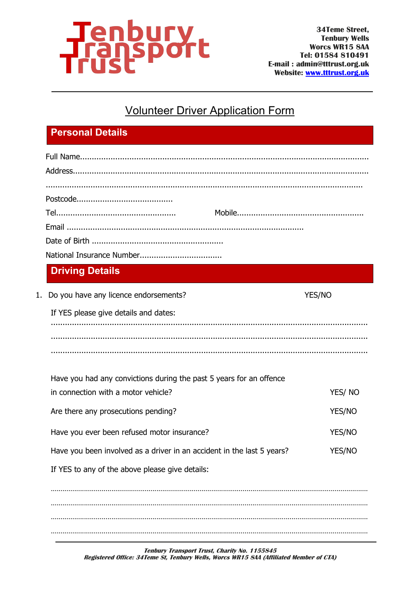

## **Volunteer Driver Application Form**

## **Personal Details**

|    | <b>Driving Details</b>                                                 |               |
|----|------------------------------------------------------------------------|---------------|
| 1. | Do you have any licence endorsements?                                  | YES/NO        |
|    | If YES please give details and dates:                                  |               |
|    |                                                                        |               |
|    |                                                                        |               |
|    |                                                                        |               |
|    | Have you had any convictions during the past 5 years for an offence    |               |
|    | in connection with a motor vehicle?                                    | YES/NO        |
|    | Are there any prosecutions pending?                                    | YES/NO        |
|    | Have you ever been refused motor insurance?                            | <b>YES/NO</b> |
|    | Have you been involved as a driver in an accident in the last 5 years? | <b>YES/NO</b> |
|    | If YES to any of the above please give details:                        |               |
|    |                                                                        |               |
|    |                                                                        |               |
|    |                                                                        |               |
|    |                                                                        |               |

Tenbury Transport Trust, Charity No. 1155845 Registered Office: 34 Teme St, Tenbury Wells, Worcs WR15 8AA (Affiliated Member of CTA)